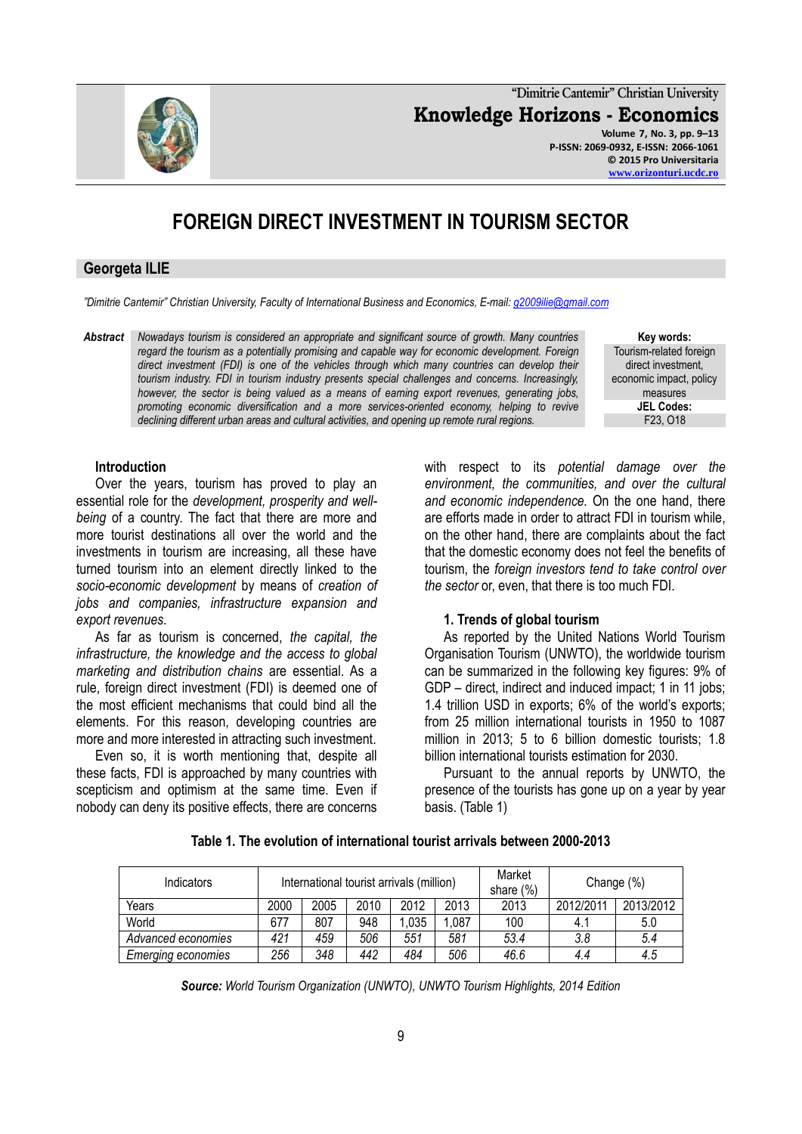**"Dimitrie Cantemir" Christian University Knowledge Horizons - Economics Volume 7, No. 3, pp. 9–13 P-ISSN: 2069-0932, E-ISSN: 2066-1061 © 2015 Pro Universitaria [www.orizonturi.ucdc.ro](http://www.orizonturi.ucdc.ro/)**

# **FOREIGN DIRECT INVESTMENT IN TOURISM SECTOR**

## **Georgeta ILIE**

**Introduction**

*export revenues.*

Over the years, tourism has proved to play an essential role for the *development, prosperity and wellbeing* of a country. The fact that there are more and more tourist destinations all over the world and the investments in tourism are increasing, all these have turned tourism into an element directly linked to the *socio-economic development* by means of *creation of jobs and companies, infrastructure expansion and* 

As far as tourism is concerned, *the capital, the infrastructure, the knowledge and the access to global marketing and distribution chains* are essential. As a rule, foreign direct investment (FDI) is deemed one of the most efficient mechanisms that could bind all the elements. For this reason, developing countries are more and more interested in attracting such investment. Even so, it is worth mentioning that, despite all these facts, FDI is approached by many countries with scepticism and optimism at the same time. Even if nobody can deny its positive effects, there are concerns

*"Dimitrie Cantemir" Christian University, Faculty of International Business and Economics, E-mail[: g2009ilie@gmail.com](mailto:g2009ilie@gmail.com)*

*Abstract Nowadays tourism is considered an appropriate and significant source of growth. Many countries regard the tourism as a potentially promising and capable way for economic development. Foreign direct investment (FDI) is one of the vehicles through which many countries can develop their tourism industry. FDI in tourism industry presents special challenges and concerns. Increasingly, however, the sector is being valued as a means of earning export revenues, generating jobs, promoting economic diversification and a more services-oriented economy, helping to revive declining different urban areas and cultural activities, and opening up remote rural regions.*

> with respect to its *potential damage over the environment, the communities, and over the cultural and economic independence.* On the one hand, there are efforts made in order to attract FDI in tourism while, on the other hand, there are complaints about the fact that the domestic economy does not feel the benefits of tourism, the *foreign investors tend to take control over the sector* or, even, that there is too much FDI.

#### **1. Trends of global tourism**

As reported by the United Nations World Tourism Organisation Tourism (UNWTO), the worldwide tourism can be summarized in the following key figures: 9% of GDP – direct, indirect and induced impact; 1 in 11 jobs; 1.4 trillion USD in exports; 6% of the world's exports; from 25 million international tourists in 1950 to 1087 million in 2013; 5 to 6 billion domestic tourists; 1.8 billion international tourists estimation for 2030.

Pursuant to the annual reports by UNWTO, the presence of the tourists has gone up on a year by year basis. (Table 1)

| Table 1. The evolution of international tourist arrivals between 2000-2013 |  |  |
|----------------------------------------------------------------------------|--|--|
|                                                                            |  |  |

| <b>Indicators</b>         | International tourist arrivals (million) |      |      |      |       | Market<br>share $(\%)$ | Change (%) |           |
|---------------------------|------------------------------------------|------|------|------|-------|------------------------|------------|-----------|
| Years                     | 2000                                     | 2005 | 2010 | 2012 | 2013  | 2013                   | 2012/2011  | 2013/2012 |
| World                     | 677                                      | 807  | 948  | .035 | 1,087 | 100                    | 4.1        | 5.0       |
| Advanced economies        | 421                                      | 459  | 506  | 551  | 581   | 53.4                   | 3.8        | 5.4       |
| <b>Emerging economies</b> | 256                                      | 348  | 442  | 484  | 506   | 46.6                   | 4.4        | 4.5       |

*Source: World Tourism Organization (UNWTO), UNWTO Tourism Highlights, 2014 Edition*



**Key words:** Tourism-related foreign direct investment, economic impact, policy measures **JEL Codes:** F23, O18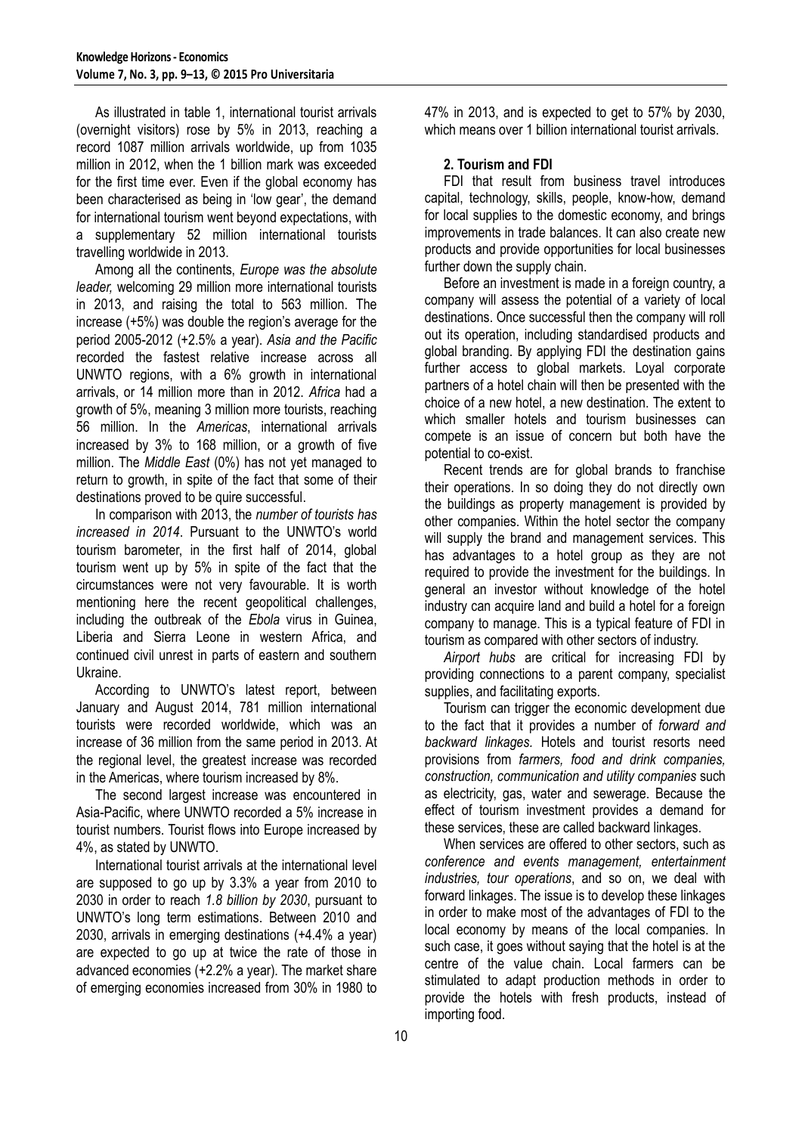As illustrated in table 1, international tourist arrivals (overnight visitors) rose by 5% in 2013, reaching a record 1087 million arrivals worldwide, up from 1035 million in 2012, when the 1 billion mark was exceeded for the first time ever. Even if the global economy has been characterised as being in 'low gear', the demand for international tourism went beyond expectations, with a supplementary 52 million international tourists travelling worldwide in 2013.

Among all the continents, *Europe was the absolute leader,* welcoming 29 million more international tourists in 2013, and raising the total to 563 million. The increase (+5%) was double the region's average for the period 2005-2012 (+2.5% a year). *Asia and the Pacific* recorded the fastest relative increase across all UNWTO regions, with a 6% growth in international arrivals, or 14 million more than in 2012. *Africa* had a growth of 5%, meaning 3 million more tourists, reaching 56 million. In the *Americas*, international arrivals increased by 3% to 168 million, or a growth of five million. The *Middle East* (0%) has not yet managed to return to growth, in spite of the fact that some of their destinations proved to be quire successful.

In comparison with 2013, the *number of tourists has increased in 2014*. Pursuant to the UNWTO's world tourism barometer, in the first half of 2014, global tourism went up by 5% in spite of the fact that the circumstances were not very favourable. It is worth mentioning here the recent geopolitical challenges, including the outbreak of the *Ebola* virus in Guinea, Liberia and Sierra Leone in western Africa, and continued civil unrest in parts of eastern and southern Ukraine.

According to UNWTO's latest report, between January and August 2014, 781 million international tourists were recorded worldwide, which was an increase of 36 million from the same period in 2013. At the regional level, the greatest increase was recorded in the Americas, where tourism increased by 8%.

The second largest increase was encountered in Asia-Pacific, where UNWTO recorded a 5% increase in tourist numbers. Tourist flows into Europe increased by 4%, as stated by UNWTO.

International tourist arrivals at the international level are supposed to go up by 3.3% a year from 2010 to 2030 in order to reach *1.8 billion by 2030*, pursuant to UNWTO's long term estimations. Between 2010 and 2030, arrivals in emerging destinations (+4.4% a year) are expected to go up at twice the rate of those in advanced economies (+2.2% a year). The market share of emerging economies increased from 30% in 1980 to

47% in 2013, and is expected to get to 57% by 2030, which means over 1 billion international tourist arrivals.

## **2. Tourism and FDI**

FDI that result from business travel introduces capital, technology, skills, people, know-how, demand for local supplies to the domestic economy, and brings improvements in trade balances. It can also create new products and provide opportunities for local businesses further down the supply chain.

Before an investment is made in a foreign country, a company will assess the potential of a variety of local destinations. Once successful then the company will roll out its operation, including standardised products and global branding. By applying FDI the destination gains further access to global markets. Loyal corporate partners of a hotel chain will then be presented with the choice of a new hotel, a new destination. The extent to which smaller hotels and tourism businesses can compete is an issue of concern but both have the potential to co-exist.

Recent trends are for global brands to franchise their operations. In so doing they do not directly own the buildings as property management is provided by other companies. Within the hotel sector the company will supply the brand and management services. This has advantages to a hotel group as they are not required to provide the investment for the buildings. In general an investor without knowledge of the hotel industry can acquire land and build a hotel for a foreign company to manage. This is a typical feature of FDI in tourism as compared with other sectors of industry.

*Airport hubs* are critical for increasing FDI by providing connections to a parent company, specialist supplies, and facilitating exports.

Tourism can trigger the economic development due to the fact that it provides a number of *forward and backward linkages.* Hotels and tourist resorts need provisions from *farmers, food and drink companies, construction, communication and utility companies* such as electricity, gas, water and sewerage. Because the effect of tourism investment provides a demand for these services, these are called backward linkages.

When services are offered to other sectors, such as *conference and events management, entertainment industries, tour operations*, and so on, we deal with forward linkages. The issue is to develop these linkages in order to make most of the advantages of FDI to the local economy by means of the local companies. In such case, it goes without saying that the hotel is at the centre of the value chain. Local farmers can be stimulated to adapt production methods in order to provide the hotels with fresh products, instead of importing food.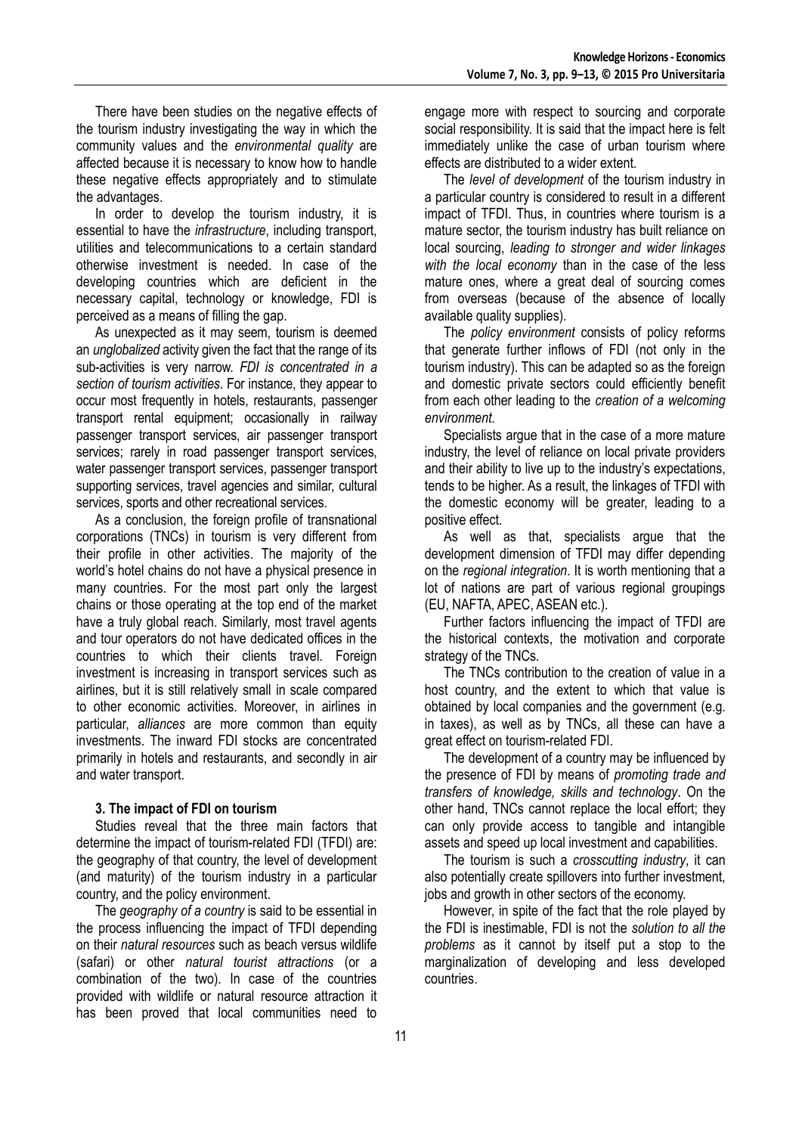There have been studies on the negative effects of the tourism industry investigating the way in which the community values and the *environmental quality* are affected because it is necessary to know how to handle these negative effects appropriately and to stimulate the advantages.

In order to develop the tourism industry, it is essential to have the *infrastructure*, including transport, utilities and telecommunications to a certain standard otherwise investment is needed. In case of the developing countries which are deficient in the necessary capital, technology or knowledge, FDI is perceived as a means of filling the gap.

As unexpected as it may seem, tourism is deemed an *unglobalized* activity given the fact that the range of its sub-activities is very narrow. *FDI is concentrated in a section of tourism activities*. For instance, they appear to occur most frequently in hotels, restaurants, passenger transport rental equipment; occasionally in railway passenger transport services, air passenger transport services; rarely in road passenger transport services, water passenger transport services, passenger transport supporting services, travel agencies and similar, cultural services, sports and other recreational services.

As a conclusion, the foreign profile of transnational corporations (TNCs) in tourism is very different from their profile in other activities. The majority of the world's hotel chains do not have a physical presence in many countries. For the most part only the largest chains or those operating at the top end of the market have a truly global reach. Similarly, most travel agents and tour operators do not have dedicated offices in the countries to which their clients travel. Foreign investment is increasing in transport services such as airlines, but it is still relatively small in scale compared to other economic activities. Moreover, in airlines in particular, *alliances* are more common than equity investments. The inward FDI stocks are concentrated primarily in hotels and restaurants, and secondly in air and water transport.

### **3. The impact of FDI on tourism**

Studies reveal that the three main factors that determine the impact of tourism-related FDI (TFDI) are: the geography of that country, the level of development (and maturity) of the tourism industry in a particular country, and the policy environment.

The *geography of a country* is said to be essential in the process influencing the impact of TFDI depending on their *natural resources* such as beach versus wildlife (safari) or other *natural tourist attractions* (or a combination of the two). In case of the countries provided with wildlife or natural resource attraction it has been proved that local communities need to

engage more with respect to sourcing and corporate social responsibility. It is said that the impact here is felt immediately unlike the case of urban tourism where effects are distributed to a wider extent.

The *level of development* of the tourism industry in a particular country is considered to result in a different impact of TFDI. Thus, in countries where tourism is a mature sector, the tourism industry has built reliance on local sourcing, *leading to stronger and wider linkages with the local economy* than in the case of the less mature ones, where a great deal of sourcing comes from overseas (because of the absence of locally available quality supplies).

The *policy environment* consists of policy reforms that generate further inflows of FDI (not only in the tourism industry). This can be adapted so as the foreign and domestic private sectors could efficiently benefit from each other leading to the *creation of a welcoming environment.*

Specialists argue that in the case of a more mature industry, the level of reliance on local private providers and their ability to live up to the industry's expectations, tends to be higher. As a result, the linkages of TFDI with the domestic economy will be greater, leading to a positive effect.

As well as that, specialists argue that the development dimension of TFDI may differ depending on the *regional integration*. It is worth mentioning that a lot of nations are part of various regional groupings (EU, NAFTA, APEC, ASEAN etc.).

Further factors influencing the impact of TFDI are the historical contexts, the motivation and corporate strategy of the TNCs.

The TNCs contribution to the creation of value in a host country, and the extent to which that value is obtained by local companies and the government (e.g. in taxes), as well as by TNCs, all these can have a great effect on tourism-related FDI.

The development of a country may be influenced by the presence of FDI by means of *promoting trade and transfers of knowledge, skills and technology*. On the other hand, TNCs cannot replace the local effort; they can only provide access to tangible and intangible assets and speed up local investment and capabilities.

The tourism is such a *crosscutting industry*, it can also potentially create spillovers into further investment, jobs and growth in other sectors of the economy.

However, in spite of the fact that the role played by the FDI is inestimable, FDI is not the *solution to all the problems* as it cannot by itself put a stop to the marginalization of developing and less developed countries.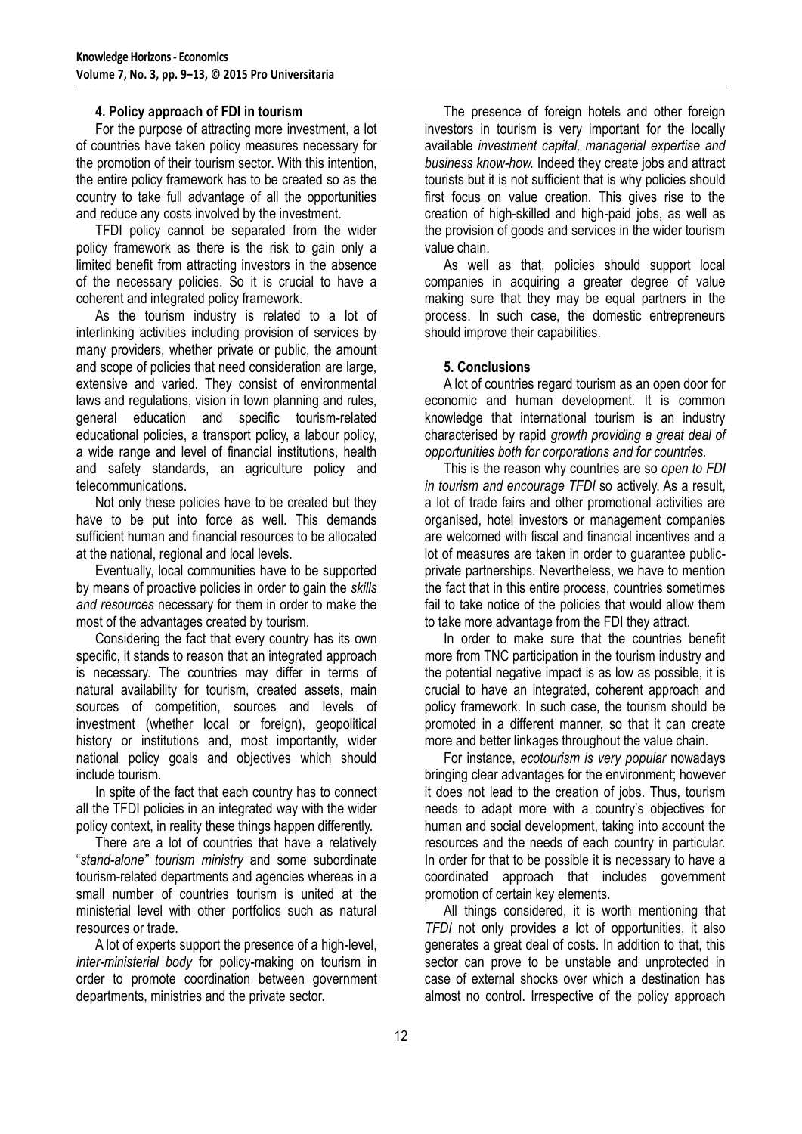## **4. Policy approach of FDI in tourism**

For the purpose of attracting more investment, a lot of countries have taken policy measures necessary for the promotion of their tourism sector. With this intention, the entire policy framework has to be created so as the country to take full advantage of all the opportunities and reduce any costs involved by the investment.

TFDI policy cannot be separated from the wider policy framework as there is the risk to gain only a limited benefit from attracting investors in the absence of the necessary policies. So it is crucial to have a coherent and integrated policy framework.

As the tourism industry is related to a lot of interlinking activities including provision of services by many providers, whether private or public, the amount and scope of policies that need consideration are large, extensive and varied. They consist of environmental laws and regulations, vision in town planning and rules, general education and specific tourism-related educational policies, a transport policy, a labour policy, a wide range and level of financial institutions, health and safety standards, an agriculture policy and telecommunications.

Not only these policies have to be created but they have to be put into force as well. This demands sufficient human and financial resources to be allocated at the national, regional and local levels.

Eventually, local communities have to be supported by means of proactive policies in order to gain the *skills and resources* necessary for them in order to make the most of the advantages created by tourism.

Considering the fact that every country has its own specific, it stands to reason that an integrated approach is necessary. The countries may differ in terms of natural availability for tourism, created assets, main sources of competition, sources and levels of investment (whether local or foreign), geopolitical history or institutions and, most importantly, wider national policy goals and objectives which should include tourism.

In spite of the fact that each country has to connect all the TFDI policies in an integrated way with the wider policy context, in reality these things happen differently.

There are a lot of countries that have a relatively "*stand-alone" tourism ministry* and some subordinate tourism-related departments and agencies whereas in a small number of countries tourism is united at the ministerial level with other portfolios such as natural resources or trade.

A lot of experts support the presence of a high-level, *inter-ministerial body* for policy-making on tourism in order to promote coordination between government departments, ministries and the private sector.

The presence of foreign hotels and other foreign investors in tourism is very important for the locally available *investment capital, managerial expertise and business know-how.* Indeed they create jobs and attract tourists but it is not sufficient that is why policies should first focus on value creation. This gives rise to the creation of high-skilled and high-paid jobs, as well as the provision of goods and services in the wider tourism value chain.

As well as that, policies should support local companies in acquiring a greater degree of value making sure that they may be equal partners in the process. In such case, the domestic entrepreneurs should improve their capabilities.

## **5. Conclusions**

A lot of countries regard tourism as an open door for economic and human development. It is common knowledge that international tourism is an industry characterised by rapid *growth providing a great deal of opportunities both for corporations and for countries.*

This is the reason why countries are so *open to FDI in tourism and encourage TFDI* so actively. As a result, a lot of trade fairs and other promotional activities are organised, hotel investors or management companies are welcomed with fiscal and financial incentives and a lot of measures are taken in order to guarantee publicprivate partnerships. Nevertheless, we have to mention the fact that in this entire process, countries sometimes fail to take notice of the policies that would allow them to take more advantage from the FDI they attract.

In order to make sure that the countries benefit more from TNC participation in the tourism industry and the potential negative impact is as low as possible, it is crucial to have an integrated, coherent approach and policy framework. In such case, the tourism should be promoted in a different manner, so that it can create more and better linkages throughout the value chain.

For instance, *ecotourism is very popular* nowadays bringing clear advantages for the environment; however it does not lead to the creation of jobs. Thus, tourism needs to adapt more with a country's objectives for human and social development, taking into account the resources and the needs of each country in particular. In order for that to be possible it is necessary to have a coordinated approach that includes government promotion of certain key elements.

All things considered, it is worth mentioning that *TFDI* not only provides a lot of opportunities, it also generates a great deal of costs. In addition to that, this sector can prove to be unstable and unprotected in case of external shocks over which a destination has almost no control. Irrespective of the policy approach